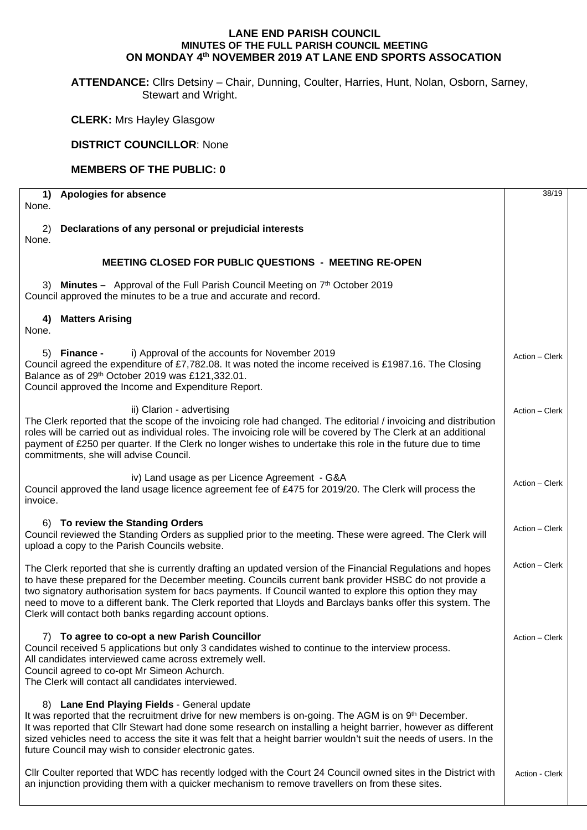## **LANE END PARISH COUNCIL MINUTES OF THE FULL PARISH COUNCIL MEETING ON MONDAY 4th NOVEMBER 2019 AT LANE END SPORTS ASSOCATION**

**ATTENDANCE:** Cllrs Detsiny – Chair, Dunning, Coulter, Harries, Hunt, Nolan, Osborn, Sarney, Stewart and Wright.

**CLERK:** Mrs Hayley Glasgow

## **DISTRICT COUNCILLOR**: None

## **MEMBERS OF THE PUBLIC: 0**

| <b>Apologies for absence</b><br>1)                                                                                                                                                                                                                                                                                                                                                                                                                                                                        | 38/19          |
|-----------------------------------------------------------------------------------------------------------------------------------------------------------------------------------------------------------------------------------------------------------------------------------------------------------------------------------------------------------------------------------------------------------------------------------------------------------------------------------------------------------|----------------|
| None.                                                                                                                                                                                                                                                                                                                                                                                                                                                                                                     |                |
| Declarations of any personal or prejudicial interests<br>2)<br>None.                                                                                                                                                                                                                                                                                                                                                                                                                                      |                |
| <b>MEETING CLOSED FOR PUBLIC QUESTIONS - MEETING RE-OPEN</b>                                                                                                                                                                                                                                                                                                                                                                                                                                              |                |
| 3) Minutes - Approval of the Full Parish Council Meeting on 7th October 2019<br>Council approved the minutes to be a true and accurate and record.                                                                                                                                                                                                                                                                                                                                                        |                |
| <b>Matters Arising</b><br>4)<br>None.                                                                                                                                                                                                                                                                                                                                                                                                                                                                     |                |
| <b>Finance -</b><br>i) Approval of the accounts for November 2019<br>5)<br>Council agreed the expenditure of £7,782.08. It was noted the income received is £1987.16. The Closing<br>Balance as of 29th October 2019 was £121,332.01.<br>Council approved the Income and Expenditure Report.                                                                                                                                                                                                              | Action - Clerk |
| ii) Clarion - advertising<br>The Clerk reported that the scope of the invoicing role had changed. The editorial / invoicing and distribution<br>roles will be carried out as individual roles. The invoicing role will be covered by The Clerk at an additional<br>payment of £250 per quarter. If the Clerk no longer wishes to undertake this role in the future due to time<br>commitments, she will advise Council.                                                                                   | Action - Clerk |
| iv) Land usage as per Licence Agreement - G&A<br>Council approved the land usage licence agreement fee of £475 for 2019/20. The Clerk will process the<br>invoice.                                                                                                                                                                                                                                                                                                                                        | Action - Clerk |
| 6) To review the Standing Orders<br>Council reviewed the Standing Orders as supplied prior to the meeting. These were agreed. The Clerk will<br>upload a copy to the Parish Councils website.                                                                                                                                                                                                                                                                                                             | Action - Clerk |
| The Clerk reported that she is currently drafting an updated version of the Financial Regulations and hopes<br>to have these prepared for the December meeting. Councils current bank provider HSBC do not provide a<br>two signatory authorisation system for bacs payments. If Council wanted to explore this option they may<br>need to move to a different bank. The Clerk reported that Lloyds and Barclays banks offer this system. The<br>Clerk will contact both banks regarding account options. | Action - Clerk |
| 7) To agree to co-opt a new Parish Councillor<br>Council received 5 applications but only 3 candidates wished to continue to the interview process.<br>All candidates interviewed came across extremely well.<br>Council agreed to co-opt Mr Simeon Achurch.<br>The Clerk will contact all candidates interviewed.                                                                                                                                                                                        | Action - Clerk |
| 8) Lane End Playing Fields - General update<br>It was reported that the recruitment drive for new members is on-going. The AGM is on 9th December.<br>It was reported that Cllr Stewart had done some research on installing a height barrier, however as different<br>sized vehicles need to access the site it was felt that a height barrier wouldn't suit the needs of users. In the<br>future Council may wish to consider electronic gates.                                                         |                |
| Cllr Coulter reported that WDC has recently lodged with the Court 24 Council owned sites in the District with<br>an injunction providing them with a quicker mechanism to remove travellers on from these sites.                                                                                                                                                                                                                                                                                          | Action - Clerk |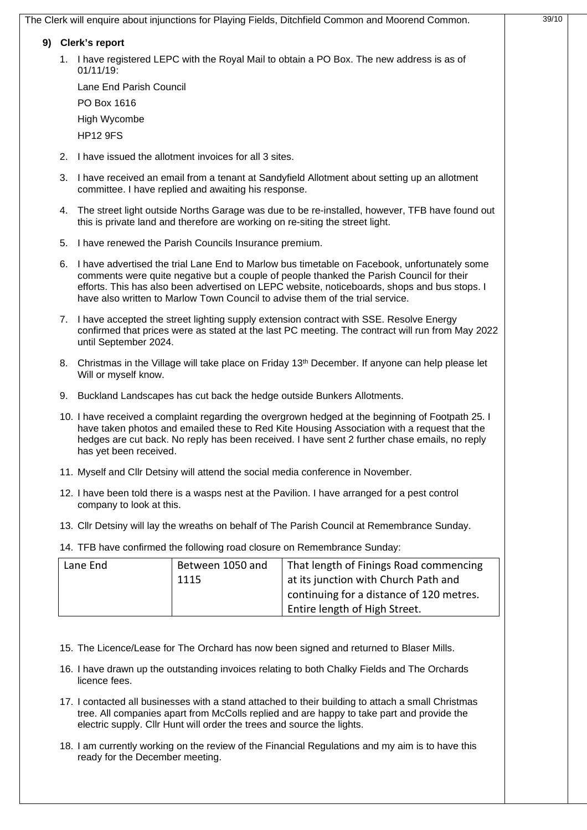|    | 9) Clerk's report                                                                                                                                                                                                                                                                                                                                                            |                                                          |                                                                                                                                                                                         |  |  |
|----|------------------------------------------------------------------------------------------------------------------------------------------------------------------------------------------------------------------------------------------------------------------------------------------------------------------------------------------------------------------------------|----------------------------------------------------------|-----------------------------------------------------------------------------------------------------------------------------------------------------------------------------------------|--|--|
|    | $01/11/19$ :                                                                                                                                                                                                                                                                                                                                                                 |                                                          | 1. I have registered LEPC with the Royal Mail to obtain a PO Box. The new address is as of                                                                                              |  |  |
|    | Lane End Parish Council                                                                                                                                                                                                                                                                                                                                                      |                                                          |                                                                                                                                                                                         |  |  |
|    | PO Box 1616                                                                                                                                                                                                                                                                                                                                                                  |                                                          |                                                                                                                                                                                         |  |  |
|    | High Wycombe                                                                                                                                                                                                                                                                                                                                                                 |                                                          |                                                                                                                                                                                         |  |  |
|    | <b>HP12 9FS</b>                                                                                                                                                                                                                                                                                                                                                              |                                                          |                                                                                                                                                                                         |  |  |
|    |                                                                                                                                                                                                                                                                                                                                                                              | 2. I have issued the allotment invoices for all 3 sites. |                                                                                                                                                                                         |  |  |
| 3. |                                                                                                                                                                                                                                                                                                                                                                              | committee. I have replied and awaiting his response.     | I have received an email from a tenant at Sandyfield Allotment about setting up an allotment                                                                                            |  |  |
|    |                                                                                                                                                                                                                                                                                                                                                                              |                                                          | 4. The street light outside Norths Garage was due to be re-installed, however, TFB have found out<br>this is private land and therefore are working on re-siting the street light.      |  |  |
|    |                                                                                                                                                                                                                                                                                                                                                                              | 5. I have renewed the Parish Councils Insurance premium. |                                                                                                                                                                                         |  |  |
|    | 6. I have advertised the trial Lane End to Marlow bus timetable on Facebook, unfortunately some<br>comments were quite negative but a couple of people thanked the Parish Council for their<br>efforts. This has also been advertised on LEPC website, noticeboards, shops and bus stops. I<br>have also written to Marlow Town Council to advise them of the trial service. |                                                          |                                                                                                                                                                                         |  |  |
|    | 7. I have accepted the street lighting supply extension contract with SSE. Resolve Energy<br>confirmed that prices were as stated at the last PC meeting. The contract will run from May 2022<br>until September 2024.                                                                                                                                                       |                                                          |                                                                                                                                                                                         |  |  |
|    | Will or myself know.                                                                                                                                                                                                                                                                                                                                                         |                                                          | 8. Christmas in the Village will take place on Friday 13 <sup>th</sup> December. If anyone can help please let                                                                          |  |  |
|    | 9. Buckland Landscapes has cut back the hedge outside Bunkers Allotments.                                                                                                                                                                                                                                                                                                    |                                                          |                                                                                                                                                                                         |  |  |
|    | 10. I have received a complaint regarding the overgrown hedged at the beginning of Footpath 25. I<br>have taken photos and emailed these to Red Kite Housing Association with a request that the<br>hedges are cut back. No reply has been received. I have sent 2 further chase emails, no reply<br>has yet been received.                                                  |                                                          |                                                                                                                                                                                         |  |  |
|    |                                                                                                                                                                                                                                                                                                                                                                              |                                                          | 11. Myself and Cllr Detsiny will attend the social media conference in November.                                                                                                        |  |  |
|    | company to look at this.                                                                                                                                                                                                                                                                                                                                                     |                                                          | 12. I have been told there is a wasps nest at the Pavilion. I have arranged for a pest control                                                                                          |  |  |
|    |                                                                                                                                                                                                                                                                                                                                                                              |                                                          | 13. Cllr Detsiny will lay the wreaths on behalf of The Parish Council at Remembrance Sunday.                                                                                            |  |  |
|    |                                                                                                                                                                                                                                                                                                                                                                              |                                                          | 14. TFB have confirmed the following road closure on Remembrance Sunday:                                                                                                                |  |  |
|    | Lane End                                                                                                                                                                                                                                                                                                                                                                     | Between 1050 and<br>1115                                 | That length of Finings Road commencing<br>at its junction with Church Path and<br>continuing for a distance of 120 metres.<br>Entire length of High Street.                             |  |  |
|    | licence fees.                                                                                                                                                                                                                                                                                                                                                                |                                                          | 15. The Licence/Lease for The Orchard has now been signed and returned to Blaser Mills.<br>16. I have drawn up the outstanding invoices relating to both Chalky Fields and The Orchards |  |  |
|    |                                                                                                                                                                                                                                                                                                                                                                              |                                                          | 17. I contacted all businesses with a stand attached to their building to attach a small Christmas                                                                                      |  |  |

18. I am currently working on the review of the Financial Regulations and my aim is to have this ready for the December meeting.